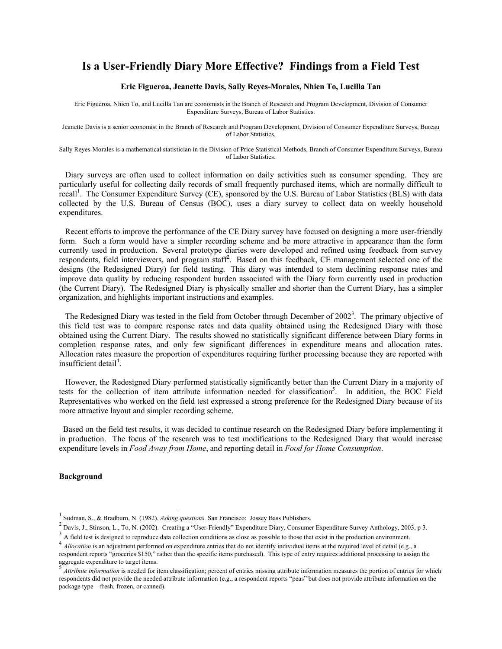# **Is a User-Friendly Diary More Effective? Findings from a Field Test**

#### **Eric Figueroa, Jeanette Davis, Sally Reyes-Morales, Nhien To, Lucilla Tan**

Eric Figueroa, Nhien To, and Lucilla Tan are economists in the Branch of Research and Program Development, Division of Consumer Expenditure Surveys, Bureau of Labor Statistics.

Jeanette Davis is a senior economist in the Branch of Research and Program Development, Division of Consumer Expenditure Surveys, Bureau of Labor Statistics.

Sally Reyes-Morales is a mathematical statistician in the Division of Price Statistical Methods, Branch of Consumer Expenditure Surveys, Bureau of Labor Statistics.

 Diary surveys are often used to collect information on daily activities such as consumer spending. They are particularly useful for collecting daily records of small frequently purchased items, which are normally difficult to recall<sup>1</sup>. The Consumer Expenditure Survey (CE), sponsored by the U.S. Bureau of Labor Statistics (BLS) with data collected by the U.S. Bureau of Census (BOC), uses a diary survey to collect data on weekly household expenditures.

 Recent efforts to improve the performance of the CE Diary survey have focused on designing a more user-friendly form. Such a form would have a simpler recording scheme and be more attractive in appearance than the form currently used in production. Several prototype diaries were developed and refined using feedback from survey respondents, field interviewers, and program staff<sup>2</sup>. Based on this feedback, CE management selected one of the designs (the Redesigned Diary) for field testing. This diary was intended to stem declining response rates and improve data quality by reducing respondent burden associated with the Diary form currently used in production (the Current Diary). The Redesigned Diary is physically smaller and shorter than the Current Diary, has a simpler organization, and highlights important instructions and examples.

The Redesigned Diary was tested in the field from October through December of 2002<sup>3</sup>. The primary objective of this field test was to compare response rates and data quality obtained using the Redesigned Diary with those obtained using the Current Diary. The results showed no statistically significant difference between Diary forms in completion response rates, and only few significant differences in expenditure means and allocation rates. Allocation rates measure the proportion of expenditures requiring further processing because they are reported with insufficient detail<sup>4</sup>.

 However, the Redesigned Diary performed statistically significantly better than the Current Diary in a majority of tests for the collection of item attribute information needed for classification<sup>5</sup>. In addition, the BOC Field Representatives who worked on the field test expressed a strong preference for the Redesigned Diary because of its more attractive layout and simpler recording scheme.

 Based on the field test results, it was decided to continue research on the Redesigned Diary before implementing it in production. The focus of the research was to test modifications to the Redesigned Diary that would increase expenditure levels in *Food Away from Home*, and reporting detail in *Food for Home Consumption*.

### **Background**

 $\overline{a}$ 

<sup>1</sup> Sudman, S., & Bradburn, N. (1982). *Asking questions.* San Francisco: Jossey Bass Publishers. 2

 $^2$  Davis, J., Stinson, L., To, N. (2002). Creating a "User-Friendly" Expenditure Diary, Consumer Expenditure Survey Anthology, 2003, p 3.<br><sup>3</sup> A field test is designed to reproduce data collection conditions as close as

<sup>4</sup> *Allocation* is an adjustment performed on expenditure entries that do not identify individual items at the required level of detail (e.g., a respondent reports "groceries \$150," rather than the specific items purchased). This type of entry requires additional processing to assign the aggregate expenditure to target items.

<sup>5</sup> *Attribute information* is needed for item classification; percent of entries missing attribute information measures the portion of entries for which respondents did not provide the needed attribute information (e.g., a respondent reports "peas" but does not provide attribute information on the package type—fresh, frozen, or canned).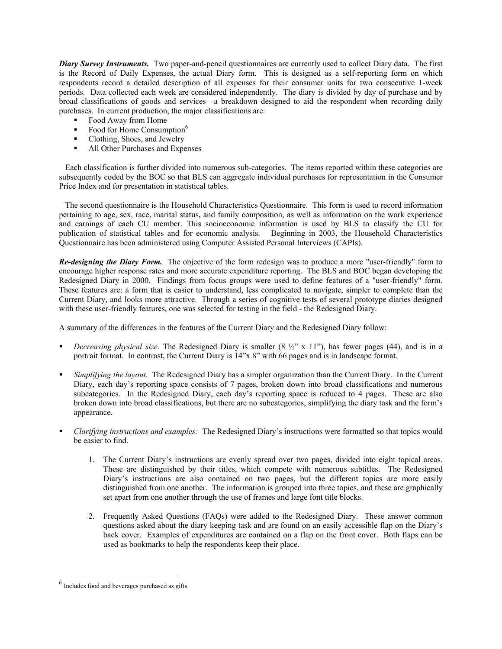*Diary Survey Instruments.* Two paper-and-pencil questionnaires are currently used to collect Diary data. The first is the Record of Daily Expenses, the actual Diary form. This is designed as a self-reporting form on which respondents record a detailed description of all expenses for their consumer units for two consecutive 1-week periods. Data collected each week are considered independently. The diary is divided by day of purchase and by broad classifications of goods and services—a breakdown designed to aid the respondent when recording daily purchases. In current production, the major classifications are:

- Food Away from Home
- Food for Home Consumption $6$
- Clothing, Shoes, and Jewelry<br>• All Other Purchases and Expe
- All Other Purchases and Expenses

 Each classification is further divided into numerous sub-categories. The items reported within these categories are subsequently coded by the BOC so that BLS can aggregate individual purchases for representation in the Consumer Price Index and for presentation in statistical tables.

 The second questionnaire is the Household Characteristics Questionnaire. This form is used to record information pertaining to age, sex, race, marital status, and family composition, as well as information on the work experience and earnings of each CU member. This socioeconomic information is used by BLS to classify the CU for publication of statistical tables and for economic analysis. Beginning in 2003, the Household Characteristics Questionnaire has been administered using Computer Assisted Personal Interviews (CAPIs).

*Re-designing the Diary Form.* The objective of the form redesign was to produce a more "user-friendly" form to encourage higher response rates and more accurate expenditure reporting. The BLS and BOC began developing the Redesigned Diary in 2000. Findings from focus groups were used to define features of a "user-friendly" form. These features are: a form that is easier to understand, less complicated to navigate, simpler to complete than the Current Diary, and looks more attractive. Through a series of cognitive tests of several prototype diaries designed with these user-friendly features, one was selected for testing in the field - the Redesigned Diary.

A summary of the differences in the features of the Current Diary and the Redesigned Diary follow:

- *Decreasing physical size.* The Redesigned Diary is smaller (8  $\frac{1}{2}$ " x 11"), has fewer pages (44), and is in a portrait format. In contrast, the Current Diary is 14"x 8" with 66 pages and is in landscape format.
- *Simplifying the layout.* The Redesigned Diary has a simpler organization than the Current Diary. In the Current Diary, each day's reporting space consists of 7 pages, broken down into broad classifications and numerous subcategories. In the Redesigned Diary, each day's reporting space is reduced to 4 pages. These are also broken down into broad classifications, but there are no subcategories, simplifying the diary task and the form's appearance.
- *Clarifying instructions and examples:* The Redesigned Diary's instructions were formatted so that topics would be easier to find.
	- 1. The Current Diary's instructions are evenly spread over two pages, divided into eight topical areas. These are distinguished by their titles, which compete with numerous subtitles. The Redesigned Diary's instructions are also contained on two pages, but the different topics are more easily distinguished from one another. The information is grouped into three topics, and these are graphically set apart from one another through the use of frames and large font title blocks.
	- 2. Frequently Asked Questions (FAQs) were added to the Redesigned Diary. These answer common questions asked about the diary keeping task and are found on an easily accessible flap on the Diary's back cover. Examples of expenditures are contained on a flap on the front cover. Both flaps can be used as bookmarks to help the respondents keep their place.

 $\overline{a}$ 

 $<sup>6</sup>$  Includes food and beverages purchased as gifts.</sup>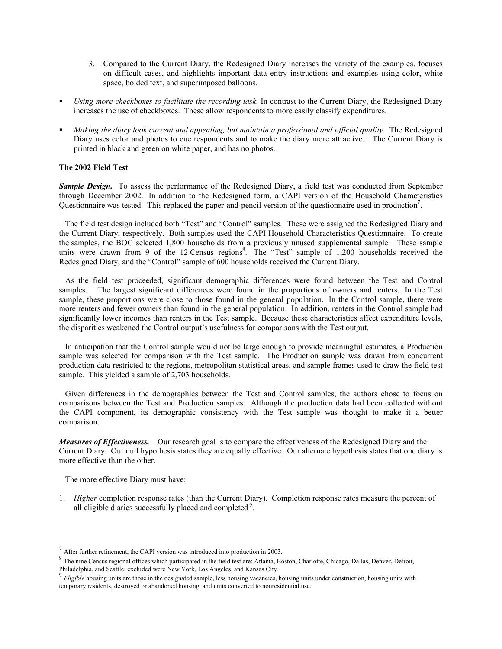- 3. Compared to the Current Diary, the Redesigned Diary increases the variety of the examples, focuses on difficult cases, and highlights important data entry instructions and examples using color, white space, bolded text, and superimposed balloons.
- *Using more checkboxes to facilitate the recording task.* In contrast to the Current Diary, the Redesigned Diary increases the use of checkboxes. These allow respondents to more easily classify expenditures.
- *Making the diary look current and appealing, but maintain a professional and official quality.* The Redesigned Diary uses color and photos to cue respondents and to make the diary more attractive. The Current Diary is printed in black and green on white paper, and has no photos.

# **The 2002 Field Test**

**Sample Design.** To assess the performance of the Redesigned Diary, a field test was conducted from September through December 2002. In addition to the Redesigned form, a CAPI version of the Household Characteristics Questionnaire was tested. This replaced the paper-and-pencil version of the questionnaire used in production<sup>7</sup>.

 The field test design included both "Test" and "Control" samples. These were assigned the Redesigned Diary and the Current Diary, respectively. Both samples used the CAPI Household Characteristics Questionnaire. To create the samples, the BOC selected 1,800 households from a previously unused supplemental sample. These sample units were drawn from 9 of the 12 Census regions<sup>8</sup>. The "Test" sample of 1,200 households received the Redesigned Diary, and the "Control" sample of 600 households received the Current Diary.

 As the field test proceeded, significant demographic differences were found between the Test and Control samples. The largest significant differences were found in the proportions of owners and renters. In the Test sample, these proportions were close to those found in the general population. In the Control sample, there were more renters and fewer owners than found in the general population. In addition, renters in the Control sample had significantly lower incomes than renters in the Test sample. Because these characteristics affect expenditure levels, the disparities weakened the Control output's usefulness for comparisons with the Test output.

 In anticipation that the Control sample would not be large enough to provide meaningful estimates, a Production sample was selected for comparison with the Test sample. The Production sample was drawn from concurrent production data restricted to the regions, metropolitan statistical areas, and sample frames used to draw the field test sample. This yielded a sample of 2,703 households.

 Given differences in the demographics between the Test and Control samples, the authors chose to focus on comparisons between the Test and Production samples. Although the production data had been collected without the CAPI component, its demographic consistency with the Test sample was thought to make it a better comparison.

*Measures of Effectiveness.* Our research goal is to compare the effectiveness of the Redesigned Diary and the Current Diary. Our null hypothesis states they are equally effective. Our alternate hypothesis states that one diary is more effective than the other.

The more effective Diary must have:

-

1. *Higher* completion response rates (than the Current Diary). Completion response rates measure the percent of all eligible diaries successfully placed and completed<sup>9</sup>.

After further refinement, the CAPI version was introduced into production in 2003.

<sup>&</sup>lt;sup>8</sup> The nine Census regional offices which participated in the field test are: Atlanta, Boston, Charlotte, Chicago, Dallas, Denver, Detroit, Philadelphia, and Seattle; excluded were New York, Los Angeles, and Kansas City.

 $^{9}$  Eligible housing units are those in the designated sample, less housing vacancies, housing units under construction, housing units with temporary residents, destroyed or abandoned housing, and units converted to nonresidential use.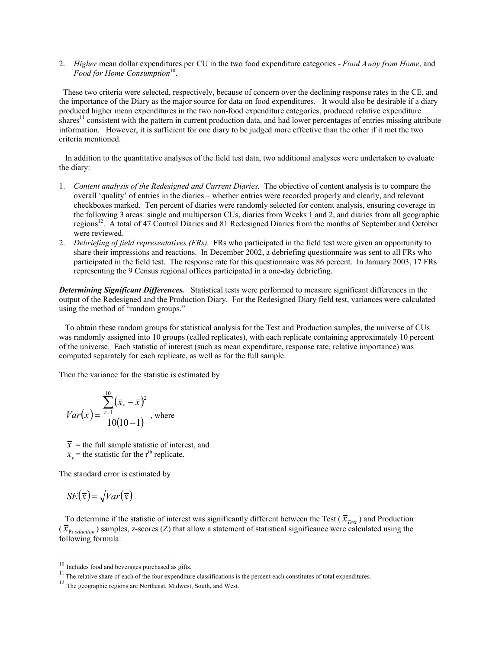2. *Higher* mean dollar expenditures per CU in the two food expenditure categories - *Food Away from Home*, and Food for Home Consumption<sup>10</sup>.

 These two criteria were selected, respectively, because of concern over the declining response rates in the CE, and the importance of the Diary as the major source for data on food expenditures*.* It would also be desirable if a diary produced higher mean expenditures in the two non-food expenditure categories, produced relative expenditure shares<sup>11</sup> consistent with the pattern in current production data, and had lower percentages of entries missing attribute information. However, it is sufficient for one diary to be judged more effective than the other if it met the two criteria mentioned.

 In addition to the quantitative analyses of the field test data, two additional analyses were undertaken to evaluate the diary:

- 1. *Content analysis of the Redesigned and Current Diaries.* The objective of content analysis is to compare the overall 'quality' of entries in the diaries – whether entries were recorded properly and clearly, and relevant checkboxes marked. Ten percent of diaries were randomly selected for content analysis, ensuring coverage in the following 3 areas: single and multiperson CUs, diaries from Weeks 1 and 2, and diaries from all geographic regions<sup>12</sup>. A total of 47 Control Diaries and 81 Redesigned Diaries from the months of September and October were reviewed.
- 2. *Debriefing of field representatives (FRs).* FRs who participated in the field test were given an opportunity to share their impressions and reactions. In December 2002, a debriefing questionnaire was sent to all FRs who participated in the field test. The response rate for this questionnaire was 86 percent. In January 2003, 17 FRs representing the 9 Census regional offices participated in a one-day debriefing.

*Determining Significant Differences.* Statistical tests were performed to measure significant differences in the output of the Redesigned and the Production Diary. For the Redesigned Diary field test, variances were calculated using the method of "random groups."

 To obtain these random groups for statistical analysis for the Test and Production samples, the universe of CUs was randomly assigned into 10 groups (called replicates), with each replicate containing approximately 10 percent of the universe. Each statistic of interest (such as mean expenditure, response rate, relative importance) was computed separately for each replicate, as well as for the full sample.

Then the variance for the statistic is estimated by

$$
Var(\bar{x}) = \frac{\sum_{r=1}^{10} (\bar{x}_r - \bar{x})^2}{10(10-1)},
$$
 where

 $\bar{x}$  = the full sample statistic of interest, and  $\overline{x}$  = the statistic for the r<sup>th</sup> replicate.

The standard error is estimated by

$$
SE(\overline{x}) = \sqrt{Var(\overline{x})}.
$$

l

To determine if the statistic of interest was significantly different between the Test ( $\bar{x}_{\text{Test}}$ ) and Production  $(\bar{x}_{\text{Pr}\,oduction})$  samples, z-scores (Z) that allow a statement of statistical significance were calculated using the following formula:

 $10$  Includes food and beverages purchased as gifts.

<sup>&</sup>lt;sup>11</sup> The relative share of each of the four expenditure classifications is the percent each constitutes of total expenditures. <sup>12</sup> The geographic regions are Northeast, Midwest, South, and West.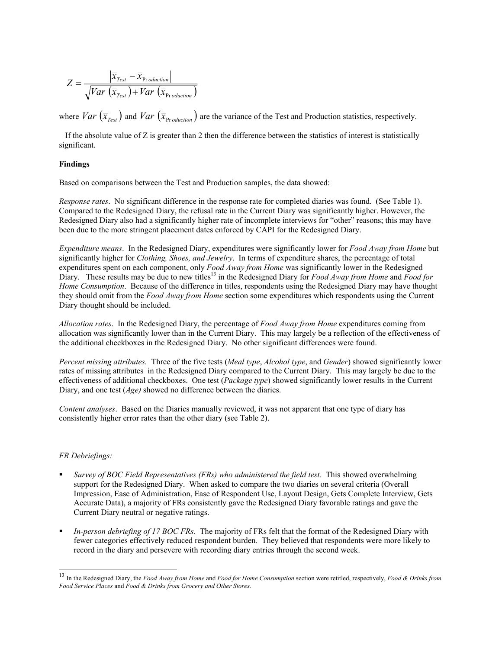$$
Z = \frac{\left|\overline{x}_{Test} - \overline{x}_{Production}\right|}{\sqrt{Var\left(\overline{x}_{Test}\right) + Var\left(\overline{x}_{Production}\right)}}
$$

where  $Var\left(\overline{x}_{Test}\right)$  and  $Var\left(\overline{x}_{Production}\right)$  are the variance of the Test and Production statistics, respectively.

 If the absolute value of Z is greater than 2 then the difference between the statistics of interest is statistically significant.

## **Findings**

Based on comparisons between the Test and Production samples, the data showed:

*Response rates*. No significant difference in the response rate for completed diaries was found. (See Table 1). Compared to the Redesigned Diary, the refusal rate in the Current Diary was significantly higher. However, the Redesigned Diary also had a significantly higher rate of incomplete interviews for "other" reasons; this may have been due to the more stringent placement dates enforced by CAPI for the Redesigned Diary.

*Expenditure means*. In the Redesigned Diary, expenditures were significantly lower for *Food Away from Home* but significantly higher for *Clothing, Shoes, and Jewelry*. In terms of expenditure shares, the percentage of total expenditures spent on each component, only *Food Away from Home* was significantly lower in the Redesigned Diary. These results may be due to new titles13 in the Redesigned Diary for *Food Away from Home* and *Food for Home Consumption*. Because of the difference in titles, respondents using the Redesigned Diary may have thought they should omit from the *Food Away from Home* section some expenditures which respondents using the Current Diary thought should be included.

*Allocation rates*. In the Redesigned Diary, the percentage of *Food Away from Home* expenditures coming from allocation was significantly lower than in the Current Diary. This may largely be a reflection of the effectiveness of the additional checkboxes in the Redesigned Diary. No other significant differences were found.

*Percent missing attributes.* Three of the five tests (*Meal type*, *Alcohol type*, and *Gender*) showed significantly lower rates of missing attributes in the Redesigned Diary compared to the Current Diary. This may largely be due to the effectiveness of additional checkboxes. One test (*Package type*) showed significantly lower results in the Current Diary, and one test (*Age)* showed no difference between the diaries.

*Content analyses*. Based on the Diaries manually reviewed, it was not apparent that one type of diary has consistently higher error rates than the other diary (see Table 2).

## *FR Debriefings:*

1

- *Survey of BOC Field Representatives (FRs) who administered the field test.* This showed overwhelming support for the Redesigned Diary. When asked to compare the two diaries on several criteria (Overall Impression, Ease of Administration, Ease of Respondent Use, Layout Design, Gets Complete Interview, Gets Accurate Data), a majority of FRs consistently gave the Redesigned Diary favorable ratings and gave the Current Diary neutral or negative ratings.
- *In-person debriefing of 17 BOC FRs.* The majority of FRs felt that the format of the Redesigned Diary with fewer categories effectively reduced respondent burden. They believed that respondents were more likely to record in the diary and persevere with recording diary entries through the second week.

<sup>13</sup> In the Redesigned Diary, the *Food Away from Home* and *Food for Home Consumption* section were retitled, respectively, *Food & Drinks from Food Service Places* and *Food & Drinks from Grocery and Other Stores*.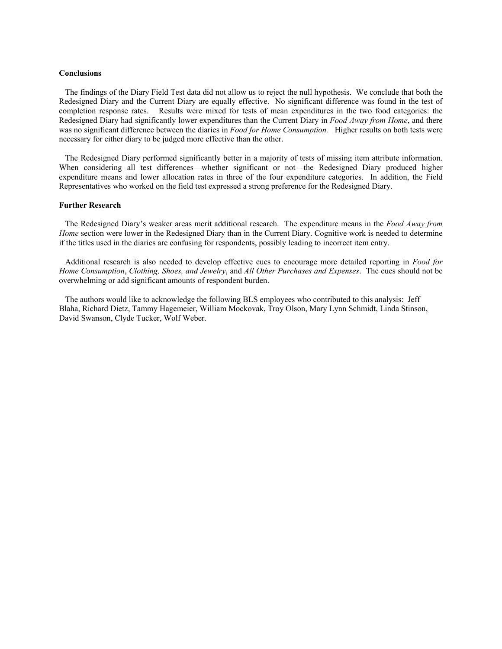#### **Conclusions**

 The findings of the Diary Field Test data did not allow us to reject the null hypothesis. We conclude that both the Redesigned Diary and the Current Diary are equally effective. No significant difference was found in the test of completion response rates. Results were mixed for tests of mean expenditures in the two food categories: the Redesigned Diary had significantly lower expenditures than the Current Diary in *Food Away from Home*, and there was no significant difference between the diaries in *Food for Home Consumption.* Higher results on both tests were necessary for either diary to be judged more effective than the other.

 The Redesigned Diary performed significantly better in a majority of tests of missing item attribute information. When considering all test differences—whether significant or not—the Redesigned Diary produced higher expenditure means and lower allocation rates in three of the four expenditure categories. In addition, the Field Representatives who worked on the field test expressed a strong preference for the Redesigned Diary.

#### **Further Research**

 The Redesigned Diary's weaker areas merit additional research. The expenditure means in the *Food Away from Home* section were lower in the Redesigned Diary than in the Current Diary. Cognitive work is needed to determine if the titles used in the diaries are confusing for respondents, possibly leading to incorrect item entry.

 Additional research is also needed to develop effective cues to encourage more detailed reporting in *Food for Home Consumption*, *Clothing, Shoes, and Jewelry*, and *All Other Purchases and Expenses*. The cues should not be overwhelming or add significant amounts of respondent burden.

 The authors would like to acknowledge the following BLS employees who contributed to this analysis: Jeff Blaha, Richard Dietz, Tammy Hagemeier, William Mockovak, Troy Olson, Mary Lynn Schmidt, Linda Stinson, David Swanson, Clyde Tucker, Wolf Weber.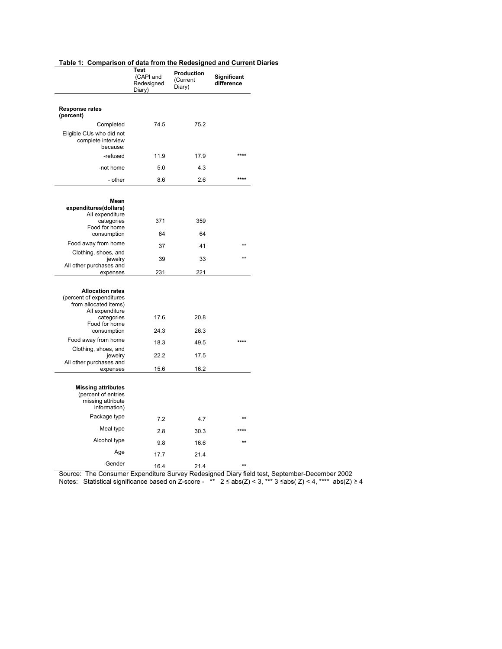# **Table 1: Comparison of data from the Redesigned and Current Diaries**

|                                                                                       | Test<br>(CAPI and<br>Redesigned<br>Diary) | Production<br>(Current<br>Diary) | Significant<br>difference |
|---------------------------------------------------------------------------------------|-------------------------------------------|----------------------------------|---------------------------|
|                                                                                       |                                           |                                  |                           |
| <b>Response rates</b><br>(percent)                                                    |                                           |                                  |                           |
| Completed                                                                             | 74.5                                      | 75.2                             |                           |
| Eligible CUs who did not<br>complete interview<br>because:                            |                                           |                                  |                           |
| -refused                                                                              | 11.9                                      | 17.9                             | ****                      |
| -not home                                                                             | 5.0                                       | 4.3                              |                           |
| - other                                                                               | 8.6                                       | 2.6                              | ****                      |
|                                                                                       |                                           |                                  |                           |
| Mean<br>expenditures(dollars)<br>All expenditure                                      |                                           |                                  |                           |
| categories<br>Food for home                                                           | 371                                       | 359                              |                           |
| consumption                                                                           | 64                                        | 64                               |                           |
| Food away from home                                                                   | 37                                        | 41                               | $**$                      |
| Clothing, shoes, and<br>jewelry                                                       | 39                                        | 33                               |                           |
| All other purchases and<br>expenses                                                   | 231                                       | 221                              |                           |
|                                                                                       |                                           |                                  |                           |
| <b>Allocation rates</b><br>(percent of expenditures<br>from allocated items)          |                                           |                                  |                           |
| All expenditure<br>categories<br>Food for home                                        | 17.6                                      | 20.8                             |                           |
| consumption                                                                           | 24.3                                      | 26.3                             |                           |
| Food away from home                                                                   | 18.3                                      | 49.5                             | ****                      |
| Clothing, shoes, and<br>jewelry<br>All other purchases and                            | 22.2                                      | 17.5                             |                           |
| expenses                                                                              | 15.6                                      | 16.2                             |                           |
| <b>Missing attributes</b><br>(percent of entries<br>missing attribute<br>information) |                                           |                                  |                           |
| Package type                                                                          | 7.2                                       | 4.7                              | $\star\star$              |
| Meal type                                                                             | 2.8                                       | 30.3                             |                           |
| Alcohol type                                                                          | 9.8                                       | 16.6                             | $\star\star$              |
| Age                                                                                   | 17.7                                      | 21.4                             |                           |
| Gender                                                                                | 16.4                                      | 21.4                             | $\star\star$              |

Source: The Consumer Expenditure Survey Redesigned Diary field test, September-December 2002 Notes: Statistical significance based on Z-score - \*\*  $2 \leq abs(Z) < 3$ , \*\*\* 3  $\leq abs(Z) < 4$ , \*\*\*\* abs(Z)  $\geq 4$